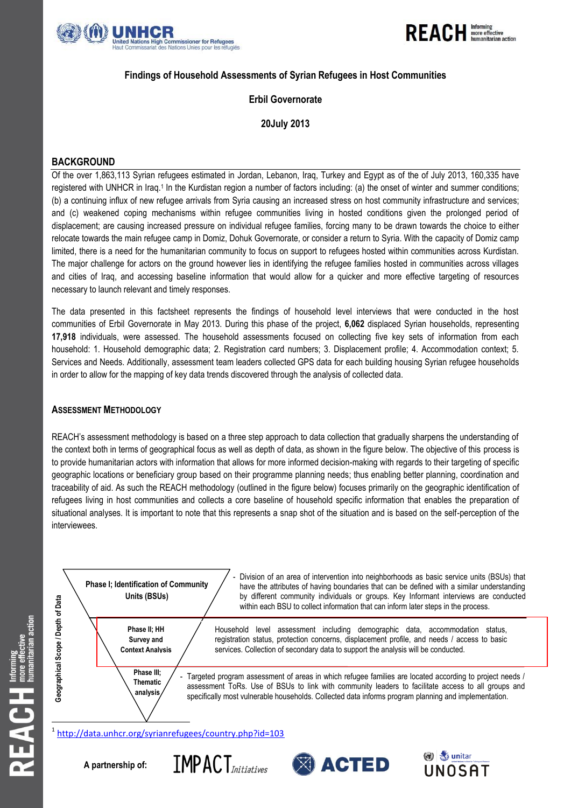



# **Findings of Household Assessments of Syrian Refugees in Host Communities**

# **Erbil Governorate**

# **20July 2013**

# **BACKGROUND**

Of the over 1,863,113 Syrian refugees estimated in Jordan, Lebanon, Iraq, Turkey and Egypt as of the of July 2013, 160,335 have registered with UNHCR in Iraq.<sup>1</sup> In the Kurdistan region a number of factors including: (a) the onset of winter and summer conditions; (b) a continuing influx of new refugee arrivals from Syria causing an increased stress on host community infrastructure and services; and (c) weakened coping mechanisms within refugee communities living in hosted conditions given the prolonged period of displacement; are causing increased pressure on individual refugee families, forcing many to be drawn towards the choice to either relocate towards the main refugee camp in Domiz, Dohuk Governorate, or consider a return to Syria. With the capacity of Domiz camp limited, there is a need for the humanitarian community to focus on support to refugees hosted within communities across Kurdistan. The major challenge for actors on the ground however lies in identifying the refugee families hosted in communities across villages and cities of Iraq, and accessing baseline information that would allow for a quicker and more effective targeting of resources necessary to launch relevant and timely responses.

The data presented in this factsheet represents the findings of household level interviews that were conducted in the host communities of Erbil Governorate in May 2013. During this phase of the project, **6,062** displaced Syrian households, representing **17,918** individuals, were assessed. The household assessments focused on collecting five key sets of information from each household: 1. Household demographic data; 2. Registration card numbers; 3. Displacement profile; 4. Accommodation context; 5. Services and Needs. Additionally, assessment team leaders collected GPS data for each building housing Syrian refugee households in order to allow for the mapping of key data trends discovered through the analysis of collected data.

## **ASSESSMENT METHODOLOGY**

REACH's assessment methodology is based on a three step approach to data collection that gradually sharpens the understanding of the context both in terms of geographical focus as well as depth of data, as shown in the figure below. The objective of this process is to provide humanitarian actors with information that allows for more informed decision-making with regards to their targeting of specific geographic locations or beneficiary group based on their programme planning needs; thus enabling better planning, coordination and traceability of aid. As such the REACH methodology (outlined in the figure below) focuses primarily on the geographic identification of refugees living in host communities and collects a core baseline of household specific information that enables the preparation of situational analyses. It is important to note that this represents a snap shot of the situation and is based on the self-perception of the interviewees.

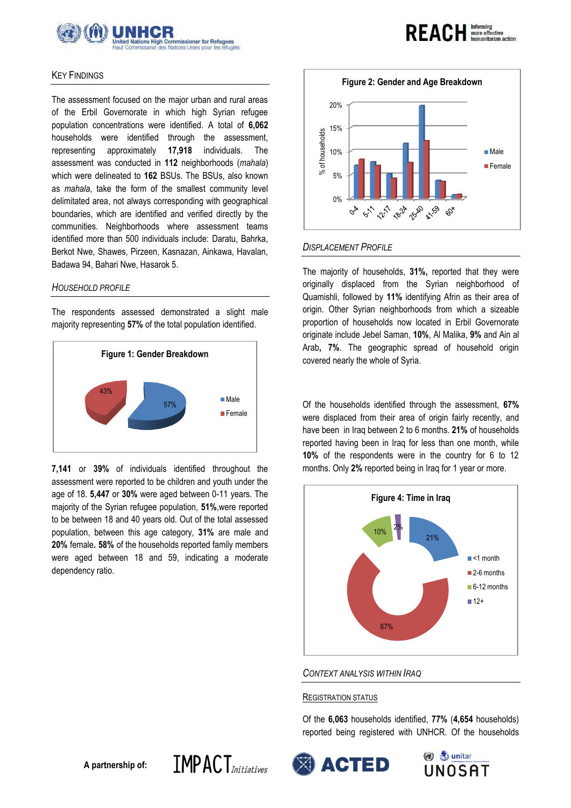

### KEY FINDINGS

The assessment focused on the major urban and rural areas of the Erbil Governorate in which high Syrian refugee population concentrations were identified. A total of **6,062** households were identified through the assessment, representing approximately **17,918** individuals. The assessment was conducted in **112** neighborhoods (*mahala*) which were delineated to **162** BSUs. The BSUs, also known as *mahala*, take the form of the smallest community level delimitated area, not always corresponding with geographical boundaries, which are identified and verified directly by the communities. Neighborhoods where assessment teams identified more than 500 individuals include: Daratu, Bahrka, Berkot Nwe, Shawes, Pirzeen, Kasnazan, Ainkawa, Havalan, Badawa 94, Bahari Nwe, Hasarok 5.

#### *HOUSEHOLD PROFILE*

The respondents assessed demonstrated a slight male majority representing **57%** of the total population identified.



**7,141** or **39%** of individuals identified throughout the assessment were reported to be children and youth under the age of 18. **5,447** or **30%** were aged between 0-11 years. The majority of the Syrian refugee population, **51%**,were reported to be between 18 and 40 years old. Out of the total assessed population, between this age category, **31%** are male and **20%** female**. 58%** of the households reported family members were aged between 18 and 59, indicating a moderate dependency ratio.



**REACH Informing** 

## *DISPLACEMENT PROFILE*

The majority of households, **31%,** reported that they were originally displaced from the Syrian neighborhood of Quamishli, followed by **11%** identifying Afrin as their area of origin. Other Syrian neighborhoods from which a sizeable proportion of households now located in Erbil Governorate originate include Jebel Saman, **10%**, Al Malika, **9%** and Ain al Arab**, 7%**. The geographic spread of household origin covered nearly the whole of Syria.

Of the households identified through the assessment, **67%** were displaced from their area of origin fairly recently, and have been in Iraq between 2 to 6 months. **21%** of households reported having been in Iraq for less than one month, while **10%** of the respondents were in the country for 6 to 12 months. Only **2%** reported being in Iraq for 1 year or more.



*CONTEXT ANALYSIS WITHIN IRAQ*

### REGISTRATION STATUS

Of the **6,063** households identified, **77%** (**4,654** households) reported being registered with UNHCR. Of the households





 $IMPACT$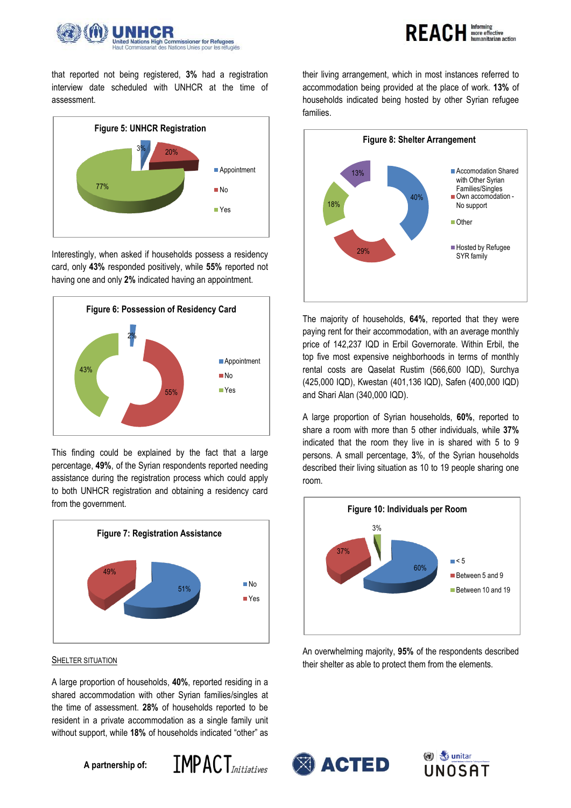



that reported not being registered, **3%** had a registration interview date scheduled with UNHCR at the time of assessment.



Interestingly, when asked if households possess a residency card, only **43%** responded positively, while **55%** reported not having one and only **2%** indicated having an appointment.



This finding could be explained by the fact that a large percentage, **49%**, of the Syrian respondents reported needing assistance during the registration process which could apply to both UNHCR registration and obtaining a residency card from the government.



#### SHELTER SITUATION

A large proportion of households, **40%**, reported residing in a shared accommodation with other Syrian families/singles at the time of assessment. **28%** of households reported to be resident in a private accommodation as a single family unit without support, while **18%** of households indicated "other" as

**A partnership of:**



their living arrangement, which in most instances referred to accommodation being provided at the place of work. **13%** of households indicated being hosted by other Syrian refugee families.



The majority of households, **64%**, reported that they were paying rent for their accommodation, with an average monthly price of 142,237 IQD in Erbil Governorate. Within Erbil, the top five most expensive neighborhoods in terms of monthly rental costs are Qaselat Rustim (566,600 IQD), Surchya (425,000 IQD), Kwestan (401,136 IQD), Safen (400,000 IQD) and Shari Alan (340,000 IQD).

A large proportion of Syrian households, **60%**, reported to share a room with more than 5 other individuals, while **37%** indicated that the room they live in is shared with 5 to 9 persons. A small percentage, **3**%, of the Syrian households described their living situation as 10 to 19 people sharing one room.



An overwhelming majority, **95%** of the respondents described their shelter as able to protect them from the elements.



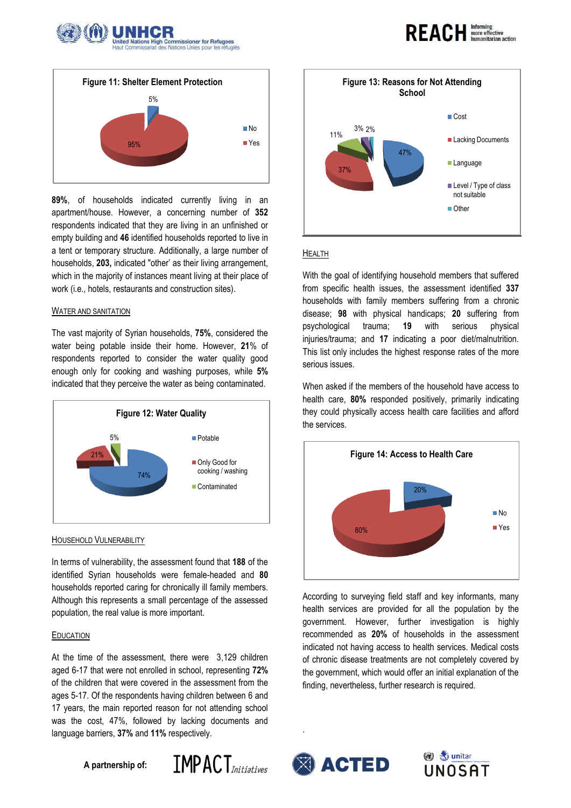



**89%**, of households indicated currently living in an apartment/house. However, a concerning number of **352** respondents indicated that they are living in an unfinished or empty building and **46** identified households reported to live in a tent or temporary structure. Additionally, a large number of households, **203,** indicated "other' as their living arrangement, which in the majority of instances meant living at their place of work (i.e., hotels, restaurants and construction sites).

#### WATER AND SANITATION

The vast majority of Syrian households, **75%**, considered the water being potable inside their home. However, **21**% of respondents reported to consider the water quality good enough only for cooking and washing purposes, while **5%** indicated that they perceive the water as being contaminated.



#### HOUSEHOLD VULNERABILITY

In terms of vulnerability, the assessment found that **188** of the identified Syrian households were female-headed and **80** households reported caring for chronically ill family members. Although this represents a small percentage of the assessed population, the real value is more important.

### EDUCATION

At the time of the assessment, there were 3,129 children aged 6-17 that were not enrolled in school, representing **72%**  of the children that were covered in the assessment from the ages 5-17. Of the respondents having children between 6 and 17 years, the main reported reason for not attending school was the cost, 47%, followed by lacking documents and language barriers, **37%** and **11%** respectively.

**A partnership of:**





### HEALTH

With the goal of identifying household members that suffered from specific health issues, the assessment identified **337** households with family members suffering from a chronic disease; **98** with physical handicaps; **20** suffering from psychological trauma; **19** with serious physical injuries/trauma; and **17** indicating a poor diet/malnutrition. This list only includes the highest response rates of the more serious issues.

When asked if the members of the household have access to health care, **80%** responded positively, primarily indicating they could physically access health care facilities and afford the services.



According to surveying field staff and key informants, many health services are provided for all the population by the government. However, further investigation is highly recommended as **20%** of households in the assessment indicated not having access to health services. Medical costs of chronic disease treatments are not completely covered by the government, which would offer an initial explanation of the finding, nevertheless, further research is required.



.



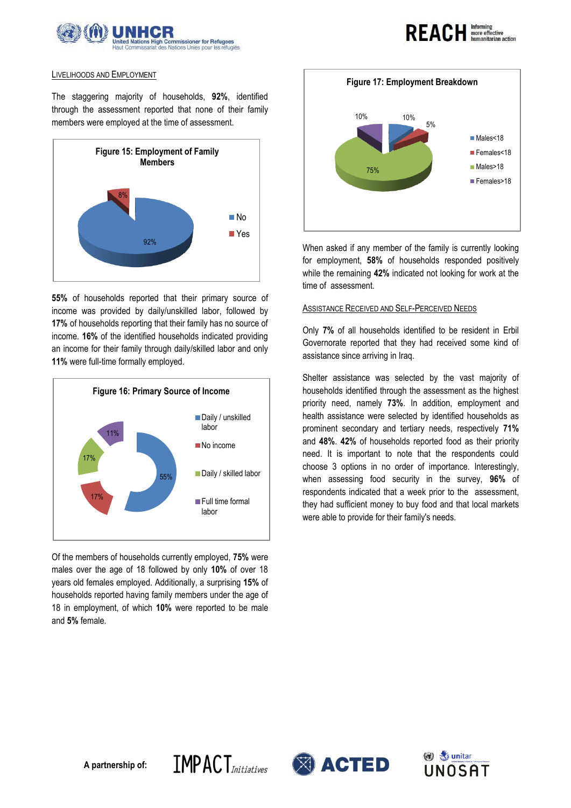



# LIVELIHOODS AND EMPLOYMENT

The staggering majority of households, **92%**, identified through the assessment reported that none of their family members were employed at the time of assessment.



**55%** of households reported that their primary source of income was provided by daily/unskilled labor, followed by **17%** of households reporting that their family has no source of income. **16%** of the identified households indicated providing an income for their family through daily/skilled labor and only **11%** were full-time formally employed.



Of the members of households currently employed, **75%** were males over the age of 18 followed by only **10%** of over 18 years old females employed. Additionally, a surprising **15%** of households reported having family members under the age of 18 in employment, of which **10%** were reported to be male and **5%** female.



When asked if any member of the family is currently looking for employment, **58%** of households responded positively while the remaining **42%** indicated not looking for work at the time of assessment.

## ASSISTANCE RECEIVED AND SELF-PERCEIVED NEEDS

Only **7%** of all households identified to be resident in Erbil Governorate reported that they had received some kind of assistance since arriving in Iraq.

Shelter assistance was selected by the vast majority of households identified through the assessment as the highest priority need, namely **73%**. In addition, employment and health assistance were selected by identified households as prominent secondary and tertiary needs, respectively **71%** and **48%**. **42%** of households reported food as their priority need. It is important to note that the respondents could choose 3 options in no order of importance. Interestingly, when assessing food security in the survey, **96%** of respondents indicated that a week prior to the assessment, they had sufficient money to buy food and that local markets were able to provide for their family's needs.